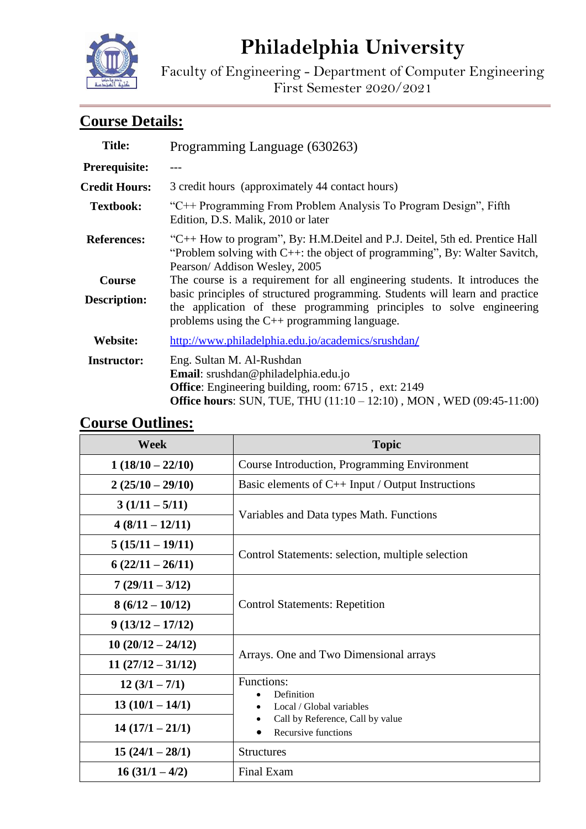# **Philadelphia University**

Faculty of Engineering - Department of Computer Engineering First Semester 2020/2021

## **Course Details:**

| <b>Title:</b>                        | Programming Language (630263)                                                                                                                                                                                                                                                       |  |
|--------------------------------------|-------------------------------------------------------------------------------------------------------------------------------------------------------------------------------------------------------------------------------------------------------------------------------------|--|
| Prerequisite:                        |                                                                                                                                                                                                                                                                                     |  |
| <b>Credit Hours:</b>                 | 3 credit hours (approximately 44 contact hours)                                                                                                                                                                                                                                     |  |
| <b>Textbook:</b>                     | "C++ Programming From Problem Analysis To Program Design", Fifth<br>Edition, D.S. Malik, 2010 or later                                                                                                                                                                              |  |
| <b>References:</b>                   | "C++ How to program", By: H.M.Deitel and P.J. Deitel, 5th ed. Prentice Hall<br>"Problem solving with $C++$ : the object of programming", By: Walter Savitch,<br>Pearson/Addison Wesley, 2005                                                                                        |  |
| <b>Course</b><br><b>Description:</b> | The course is a requirement for all engineering students. It introduces the<br>basic principles of structured programming. Students will learn and practice<br>the application of these programming principles to solve engineering<br>problems using the C++ programming language. |  |
| <b>Website:</b>                      | http://www.philadelphia.edu.jo/academics/srushdan/                                                                                                                                                                                                                                  |  |
| <b>Instructor:</b>                   | Eng. Sultan M. Al-Rushdan<br>Email: srushdan@philadelphia.edu.jo<br><b>Office:</b> Engineering building, room: 6715, ext: 2149<br><b>Office hours:</b> SUN, TUE, THU (11:10 – 12:10), MON, WED (09:45-11:00)                                                                        |  |

#### **Week Topic 1 (18/10 – 22/10)** Course Introduction, Programming Environment **2 (25/10 – 29/10)** Basic elements of C++ Input / Output Instructions **3 (1/11 – 5/11)** Variables and Data types Math. Functions **4 (8/11 – 12/11) 5 (15/11 – 19/11)** Control Statements: selection, multiple selection **6 (22/11 – 26/11) 7 (29/11 – 3/12) 8 (6/12 – 10/12)** Control Statements: Repetition **9 (13/12 – 17/12) 10 (20/12 – 24/12)** Arrays. One and Two Dimensional arrays **11 (27/12 – 31/12)**  $\begin{array}{|c|c|c|}\n\hline\n\textbf{12} & \textbf{(3/1 - 7/1)} \\
\hline\n\textbf{13} & \textbf{14} \\
\hline\n\textbf{18} & \textbf{18} \\
\hline\n\textbf{19} & \textbf{19} \\
\hline\n\textbf{10} & \textbf{10} \\
\hline\n\textbf{11} & \textbf{10} \\
\hline\n\textbf{12} & \textbf{10} \\
\hline\n\textbf{13} & \textbf{10} \\
\hline\n\textbf{14} & \textbf{10} \\
\hline\n\textbf{15} & \textbf{10} \\$  Definition • Local / Global variables • Call by Reference, Call by value • Recursive functions **13 (10/1 – 14/1) 14 (17/1 – 21/1) 15 (24/1 – 28/1)** Structures **16 (31/1 – 4/2)** Final Exam

#### **Course Outlines:**